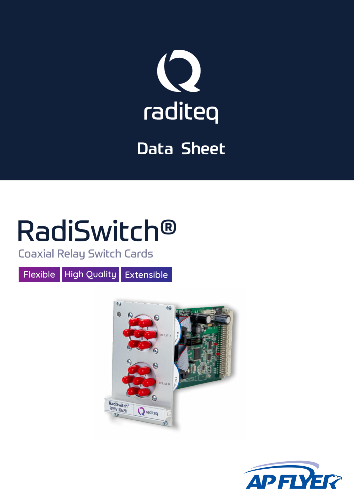

# Data Sheet

# RadiSwitch®

Coaxial Relay Switch Cards

Flexible High Quality Extensible



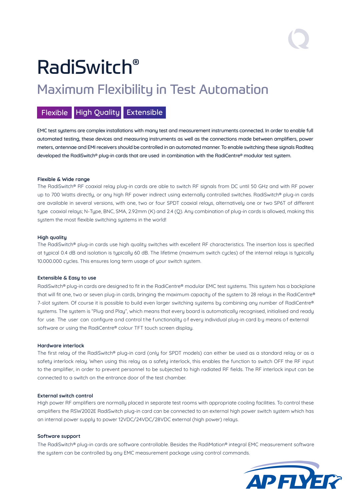# RadiSwitch®

### Maximum Flexibility in Test Automation

#### Flexible High Quality Extensible

EMC test systems are complex installations with many test and measurement instruments connected. In order to enable full automated testing, these devices and measuring instruments as well as the connections made between amplifiers, power meters, antennae and EMI receivers should be controlled in an automated manner. To enable switching these signals Raditeq developed the RadiSwitch® plug-in cards that are used in combination with the RadiCentre® modular test system.

#### **Flexible & Wide range**

The RadiSwitch® RF coaxial relay plug-in cards are able to switch RF signals from DC until 50 GHz and with RF power up to 700 Watts directly, or any high RF power indirect using externally controlled switches. RadiSwitch® plug-in cards are available in several versions, with one, two or four SPDT coaxial relays, alternatively one or two SP6T of different type coaxial relays; N-Type, BNC, SMA, 2.92mm (K) and 2.4 (Q). Any combination of plug-in cards is allowed, making this sustem the most flexible switching sustems in the world!

#### **High quality**

The RadiSwitch® plug-in cards use high quality switches with excellent RF characteristics. The insertion loss is specified at typical 0.4 dB and isolation is typically 60 dB. The lifetime (maximum switch cycles) of the internal relays is typically 10.000.000 cycles. This ensures long term usage of your switch system.

#### **Extensible & Easy to use**

RadiSwitch® plug-in cards are designed to fit in the RadiCentre® modular EMC test systems. This system has a backplane that will fit one, two or seven plug-in cards, bringing the maximum capacity of the system to 28 relays in the RadiCentre® 7-slot system. Of course it is possible to build even larger switching systems by combining any number of RadiCentre® systems. The system is "Plug and Play", which means that every board is automatically recognised, initialised and ready for use. The user can configure and control the functionality of every individual plug-in card by means of external software or using the RadiCentre® colour TFT touch screen display.

#### **Hardware interlock**

The first relay of the RadiSwitch® plug-in card (only for SPDT models) can either be used as a standard relay or as a safety interlock relay. When using this relay as a safety interlock, this enables the function to switch OFF the RF input to the amplifier, in order to prevent personnel to be subjected to high radiated RF fields. The RF interlock input can be connected to a switch on the entrance door of the test chamber.

#### **External switch control**

High power RF amplifiers are normally placed in separate test rooms with appropriate cooling facilities. To control these amplifiers the RSW2002E RadiSwitch plug-in card can be connected to an external high power switch system which has an internal power supply to power 12VDC/24VDC/28VDC external (high power) relays.

#### **Software support**

The RadiSwitch® plug-in cards are software controllable. Besides the RadiMation® integral EMC measurement software the system can be controlled by any EMC measurement package using control commands.

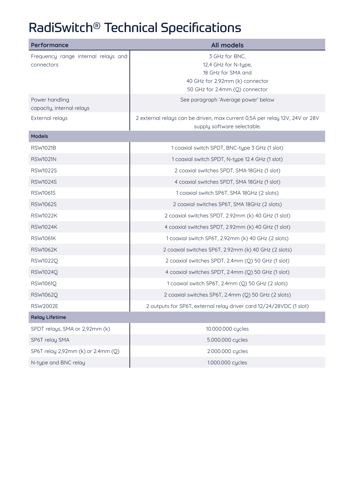## RadiSwitch® Technical Specifications

| Performance                         | <b>All models</b>                                                                                          |
|-------------------------------------|------------------------------------------------------------------------------------------------------------|
| Frequency range internal relays and | 3 GHz for BNC,                                                                                             |
| connectors                          | 12,4 GHz for N-type,                                                                                       |
|                                     | 18 GHz for SMA and                                                                                         |
|                                     | 40 GHz for 2,92mm (k) connector<br>50 GHz for 2.4mm (Q) connector                                          |
| Power handling                      |                                                                                                            |
| capacity, internal relays           | See paragraph 'Average power' below                                                                        |
| External relays                     | 2 external relays can be driven, max current 0,5A per relay 12V, 24V or 28V<br>supply software selectable. |
| <b>Models</b>                       |                                                                                                            |
| <b>RSW1021B</b>                     | 1 coaxial switch SPDT, BNC-type 3 GHz (1 slot)                                                             |
| <b>RSW1021N</b>                     | 1 coaxial switch SPDT, N-type 12.4 GHz (1 slot)                                                            |
| <b>RSW1022S</b>                     | 2 coaxial switches SPDT, SMA 18GHz (1 slot)                                                                |
| <b>RSW1024S</b>                     | 4 coaxial switches SPDT, SMA 18GHz (1 slot)                                                                |
| <b>RSW1061S</b>                     | 1 coaxial switch SP6T, SMA 18GHz (2 slots)                                                                 |
| <b>RSW1062S</b>                     | 2 coaxial switches SP6T, SMA 18GHz (2 slots)                                                               |
| <b>RSW1022K</b>                     | 2 coaxial switches SPDT, 2.92mm (k) 40 GHz (1 slot)                                                        |
| <b>RSW1024K</b>                     | 4 coaxial switches SPDT, 2.92mm (k) 40 GHz (1 slot)                                                        |
| <b>RSW1061K</b>                     | 1 coaxial switch SP6T, 2.92mm (k) 40 GHz (2 slots)                                                         |
| <b>RSW1062K</b>                     | 2 coaxial switches SP6T, 2.92mm (k) 40 GHz (2 slots)                                                       |
| <b>RSW1022Q</b>                     | 2 coaxial switches SPDT, 2.4mm (Q) 50 GHz (1 slot)                                                         |
| <b>RSW1024Q</b>                     | 4 coaxial switches SPDT, 2.4mm (Q) 50 GHz (1 slot)                                                         |
| <b>RSW1061Q</b>                     | 1 coaxial switch SP6T, 2.4mm (Q) 50 GHz (2 slots)                                                          |
| <b>RSW1062Q</b>                     | 2 coaxial switches SP6T, 2.4mm (Q) 50 GHz (2 slots)                                                        |
| <b>RSW2002E</b>                     | 2 outputs for SP6T, external relay driver card 12/24/28VDC (1 slot)                                        |
| <b>Relay Lifetime</b>               |                                                                                                            |
| SPDT relays, SMA or 2,92mm (k)      | 10.000.000 cycles                                                                                          |
| SP6T relay SMA                      | 5.000.000 cycles                                                                                           |
| SP6T relay 2,92mm (k) or 2.4mm (Q)  | 2.000.000 cycles                                                                                           |
| N-type and BNC relay                | 1.000.000 cycles                                                                                           |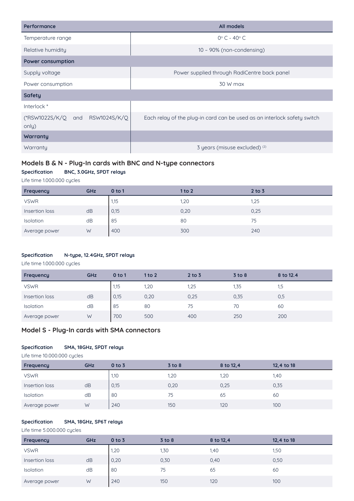| Performance                              | All models                                                               |  |  |  |
|------------------------------------------|--------------------------------------------------------------------------|--|--|--|
| Temperature range                        | $0^\circ$ C - 40 $^\circ$ C                                              |  |  |  |
| Relative humidity                        | $10 - 90\%$ (non-condensing)                                             |  |  |  |
| <b>Power consumption</b>                 |                                                                          |  |  |  |
| Supply voltage                           | Power supplied through RadiCentre back panel                             |  |  |  |
| Power consumption                        | 30 W max                                                                 |  |  |  |
| <b>Safety</b>                            |                                                                          |  |  |  |
| Interlock *                              |                                                                          |  |  |  |
| (*RSW1022S/K/Q and RSW1024S/K/Q<br>only) | Each relay of the plug-in card can be used as an interlock safety switch |  |  |  |
| Warranty                                 |                                                                          |  |  |  |
| Warranty                                 | 3 years (misuse excluded) (2)                                            |  |  |  |

#### **Models B & N - Plug-In cards with BNC and N-type connectors**

#### **Specification BNC, 3.0GHz, SPDT relays**

Life time 1.000.000 cycles

| Frequency      | GHz | 0 <sub>to 1</sub> | 1 to 2 | $2$ to $3$ |
|----------------|-----|-------------------|--------|------------|
| <b>VSWR</b>    |     | 1,15              | 1,20   | 1,25       |
| Insertion loss | dB  | 0,15              | 0,20   | 0,25       |
| Isolation      | dB  | 85                | 80     | 75         |
| Average power  | W   | 400               | 300    | 240        |

#### **Specification N-type, 12.4GHz, SPDT relays**

Life time 1.000.000 cycles

| Frequency        | GHz | 0 <sub>to 1</sub> | 1 to 2 | $2$ to $3$ | $3$ to $8$ | 8 to 12.4 |
|------------------|-----|-------------------|--------|------------|------------|-----------|
| <b>VSWR</b>      |     | 1,15              | 1,20   | 1,25       | 1,35       | 1,5       |
| Insertion loss   | dB  | 0,15              | 0,20   | 0,25       | 0,35       | 0,5       |
| <b>Isolation</b> | dB  | 85                | 80     | 75         | 70         | 60        |
| Average power    | W   | 700               | 500    | 400        | 250        | 200       |

#### **Model S - Plug-In cards with SMA connectors**

#### **Specification SMA, 18GHz, SPDT relays**

Life time 10.000.000 cycles

| Frequency        | GHz | $0$ to $3$ | $3$ to $8$ | 8 to 12,4 | 12,4 to 18 |
|------------------|-----|------------|------------|-----------|------------|
| <b>VSWR</b>      |     | 1,10       | 1,20       | 1,20      | 1,40       |
| Insertion loss   | dB  | 0,15       | 0,20       | 0,25      | 0,35       |
| <b>Isolation</b> | dB  | 80         | 75         | 65        | 60         |
| Average power    | W   | 240        | 150        | 120       | 100        |

#### **Specification SMA, 18GHz, SP6T relays**

Life time 5.000.000 cycles

| Frequency        | GHz | $0$ to $3$ | $3$ to $8$ | 8 to 12,4 | 12,4 to 18 |
|------------------|-----|------------|------------|-----------|------------|
| <b>VSWR</b>      |     | 1,20       | 1,30       | 1,40      | 1,50       |
| Insertion loss   | dB  | 0,20       | 0,30       | 0,40      | 0,50       |
| <b>Isolation</b> | dB  | 80         | 75         | 65        | 60         |
| Average power    | W   | 240        | 150        | 120       | 100        |